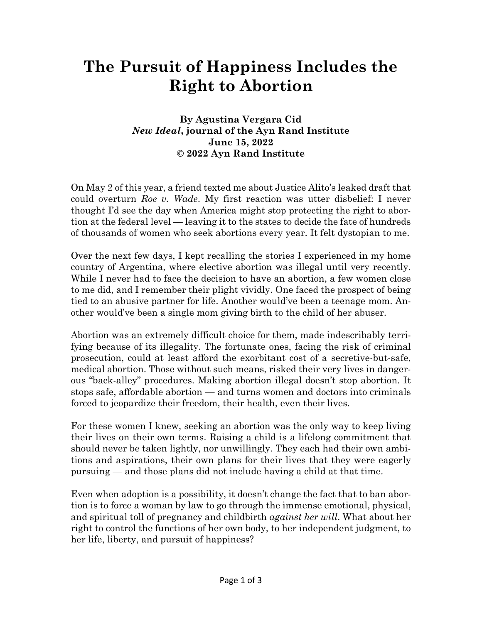## **The Pursuit of Happiness Includes the Right to Abortion**

## **By Agustina Vergara Cid** *New Ideal***, journal of the Ayn Rand Institute June 15, 2022 © 2022 Ayn Rand Institute**

On May 2 of this year, a friend texted me about Justice Alito's leaked draft that could overturn *Roe v. Wade*. My first reaction was utter disbelief: I never thought I'd see the day when America might stop protecting the right to abortion at the federal level — leaving it to the states to decide the fate of hundreds of thousands of women who seek abortions every year. It felt dystopian to me.

Over the next few days, I kept recalling the stories I experienced in my home country of Argentina, where elective abortion was illegal until very recently. While I never had to face the decision to have an abortion, a few women close to me did, and I remember their plight vividly. One faced the prospect of being tied to an abusive partner for life. Another would've been a teenage mom. Another would've been a single mom giving birth to the child of her abuser.

Abortion was an extremely difficult choice for them, made indescribably terrifying because of its illegality. The fortunate ones, facing the risk of criminal prosecution, could at least afford the exorbitant cost of a secretive-but-safe, medical abortion. Those without such means, risked their very lives in dangerous "back-alley" procedures. Making abortion illegal doesn't stop abortion. It stops safe, affordable abortion — and turns women and doctors into criminals forced to jeopardize their freedom, their health, even their lives.

For these women I knew, seeking an abortion was the only way to keep living their lives on their own terms. Raising a child is a lifelong commitment that should never be taken lightly, nor unwillingly. They each had their own ambitions and aspirations, their own plans for their lives that they were eagerly pursuing — and those plans did not include having a child at that time.

Even when adoption is a possibility, it doesn't change the fact that to ban abortion is to force a woman by law to go through the immense emotional, physical, and spiritual toll of pregnancy and childbirth *against her will*. What about her right to control the functions of her own body, to her independent judgment, to her life, liberty, and pursuit of happiness?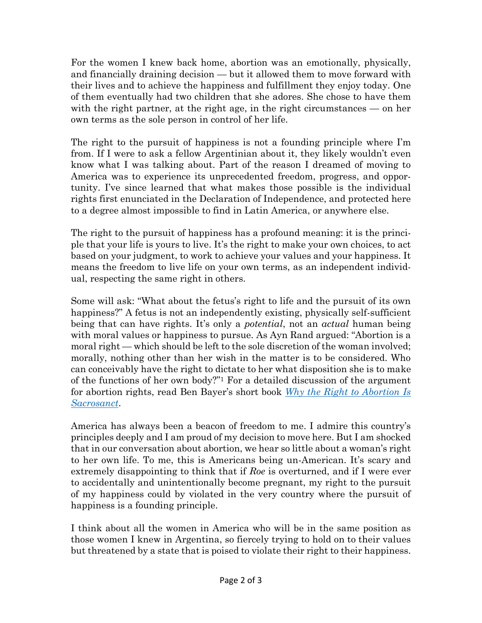For the women I knew back home, abortion was an emotionally, physically, and financially draining decision — but it allowed them to move forward with their lives and to achieve the happiness and fulfillment they enjoy today. One of them eventually had two children that she adores. She chose to have them with the right partner, at the right age, in the right circumstances — on her own terms as the sole person in control of her life.

The right to the pursuit of happiness is not a founding principle where I'm from. If I were to ask a fellow Argentinian about it, they likely wouldn't even know what I was talking about. Part of the reason I dreamed of moving to America was to experience its unprecedented freedom, progress, and opportunity. I've since learned that what makes those possible is the individual rights first enunciated in the Declaration of Independence, and protected here to a degree almost impossible to find in Latin America, or anywhere else.

The right to the pursuit of happiness has a profound meaning: it is the principle that your life is yours to live. It's the right to make your own choices, to act based on your judgment, to work to achieve your values and your happiness. It means the freedom to live life on your own terms, as an independent individual, respecting the same right in others.

Some will ask: "What about the fetus's right to life and the pursuit of its own happiness?" A fetus is not an independently existing, physically self-sufficient being that can have rights. It's only a *potential*, not an *actual* human being with moral values or happiness to pursue. As Ayn Rand argued: "Abortion is a moral right — which should be left to the sole discretion of the woman involved; morally, nothing other than her wish in the matter is to be considered. Who can conceivably have the right to dictate to her what disposition she is to make of the functions of her own body?" <sup>1</sup> For a detailed discussion of the argument for abortion rights, read Ben Bayer's short book *[Why the Right to Abortion Is](https://www.amazon.com/Why-Right-Abortion-Sacrosanct-Bayer/dp/B0B1C12SWZ/ref=tmm_pap_swatch_0?_encoding=UTF8&qid=1654303037&sr=8-2-spons)  [Sacrosanct](https://www.amazon.com/Why-Right-Abortion-Sacrosanct-Bayer/dp/B0B1C12SWZ/ref=tmm_pap_swatch_0?_encoding=UTF8&qid=1654303037&sr=8-2-spons)*.

America has always been a beacon of freedom to me. I admire this country's principles deeply and I am proud of my decision to move here. But I am shocked that in our conversation about abortion, we hear so little about a woman's right to her own life. To me, this is Americans being un-American. It's scary and extremely disappointing to think that if *Roe* is overturned, and if I were ever to accidentally and unintentionally become pregnant, my right to the pursuit of my happiness could by violated in the very country where the pursuit of happiness is a founding principle.

I think about all the women in America who will be in the same position as those women I knew in Argentina, so fiercely trying to hold on to their values but threatened by a state that is poised to violate their right to their happiness.